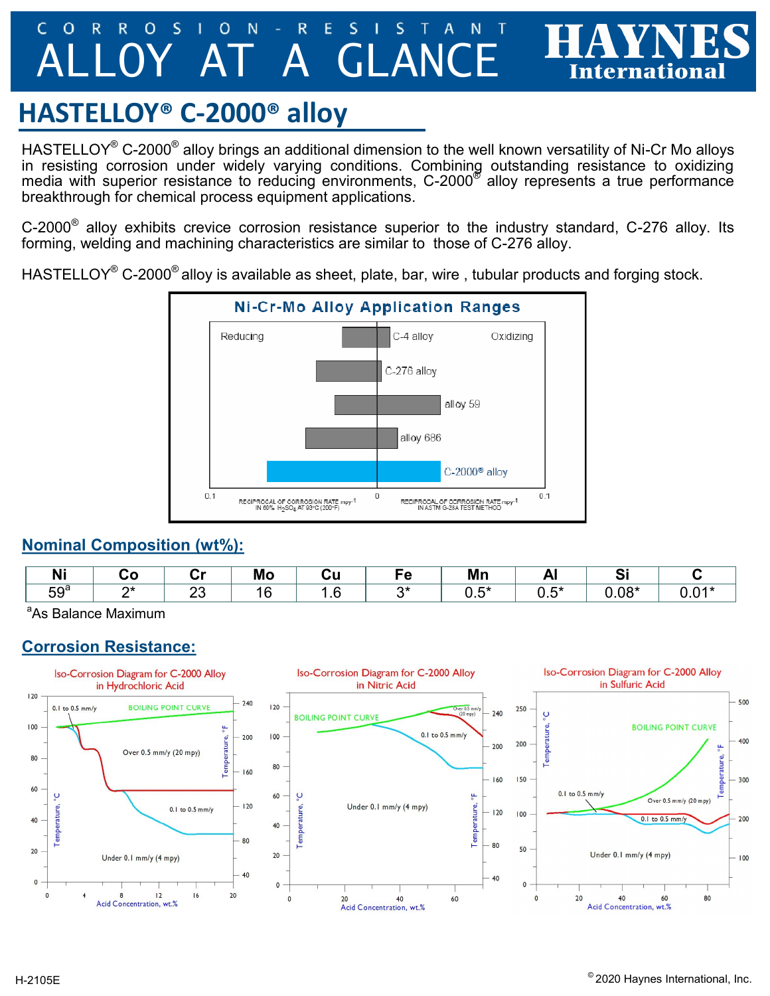#### $\Omega$ R R  $\mathbf O$ S N R S O E A GLANC

# **HASTELLOY® C-2000® alloy**

<code>HASTELLOY®</code> C-2000 $^{\circledast}$  alloy brings an additional dimension to the well known versatility of Ni-Cr Mo alloys in resisting corrosion under widely varying conditions. Combining outstanding resistance to oxidizing media with superior resistance to reducing environments, C-2000 $^\circ$  alloy represents a true performance breakthrough for chemical process equipment applications.

C-2000 $^{\circ}$  alloy exhibits crevice corrosion resistance superior to the industry standard, C-276 alloy. Its forming, welding and machining characteristics are similar to those of C-276 alloy.

HASTELLOY<sup>®</sup> C-2000<sup>®</sup> alloy is available as sheet, plate, bar, wire, tubular products and forging stock.



#### **Nominal Composition (wt%):**

| .<br>N.         | .  | ∼-<br>. . | . .<br>ww |                   |        | Mn         |            |                               |     |
|-----------------|----|-----------|-----------|-------------------|--------|------------|------------|-------------------------------|-----|
| 59 <sup>a</sup> | ⌒∗ | n n<br>∠◡ | . .<br>╰  | $\cdot$ . $\circ$ | $\sim$ | - +<br>∪.∪ | . .<br>◡.◡ | $\mathsf{A} \circ \mathsf{A}$ | v.v |

<sup>a</sup>As Balance Maximum

#### **Corrosion Resistance:**



**International**